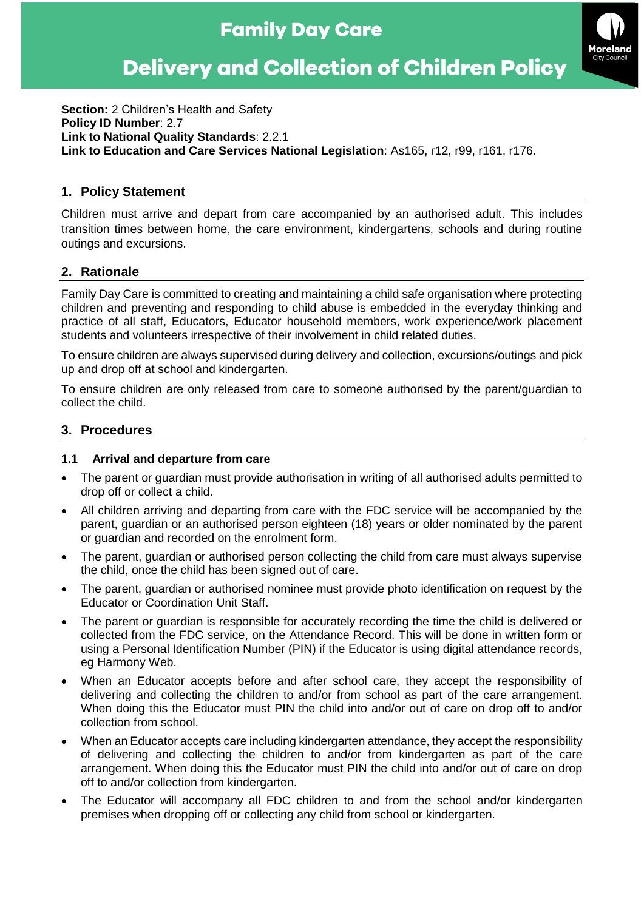# **Family Day Care**

# **Delivery and Collection of Children Policy**



**Section:** 2 Children's Health and Safety **Policy ID Number**: 2.7 **Link to National Quality Standards**: 2.2.1 **Link to Education and Care Services National Legislation**: As165, r12, r99, r161, r176.

# **1. Policy Statement**

Children must arrive and depart from care accompanied by an authorised adult. This includes transition times between home, the care environment, kindergartens, schools and during routine outings and excursions.

## **2. Rationale**

Family Day Care is committed to creating and maintaining a child safe organisation where protecting children and preventing and responding to child abuse is embedded in the everyday thinking and practice of all staff, Educators, Educator household members, work experience/work placement students and volunteers irrespective of their involvement in child related duties.

To ensure children are always supervised during delivery and collection, excursions/outings and pick up and drop off at school and kindergarten.

To ensure children are only released from care to someone authorised by the parent/guardian to collect the child.

## **3. Procedures**

#### **1.1 Arrival and departure from care**

- The parent or guardian must provide authorisation in writing of all authorised adults permitted to drop off or collect a child.
- All children arriving and departing from care with the FDC service will be accompanied by the parent, guardian or an authorised person eighteen (18) years or older nominated by the parent or guardian and recorded on the enrolment form.
- The parent, guardian or authorised person collecting the child from care must always supervise the child, once the child has been signed out of care.
- The parent, guardian or authorised nominee must provide photo identification on request by the Educator or Coordination Unit Staff.
- The parent or guardian is responsible for accurately recording the time the child is delivered or collected from the FDC service, on the Attendance Record. This will be done in written form or using a Personal Identification Number (PIN) if the Educator is using digital attendance records, eg Harmony Web.
- When an Educator accepts before and after school care, they accept the responsibility of delivering and collecting the children to and/or from school as part of the care arrangement. When doing this the Educator must PIN the child into and/or out of care on drop off to and/or collection from school.
- When an Educator accepts care including kindergarten attendance, they accept the responsibility of delivering and collecting the children to and/or from kindergarten as part of the care arrangement. When doing this the Educator must PIN the child into and/or out of care on drop off to and/or collection from kindergarten.
- The Educator will accompany all FDC children to and from the school and/or kindergarten premises when dropping off or collecting any child from school or kindergarten.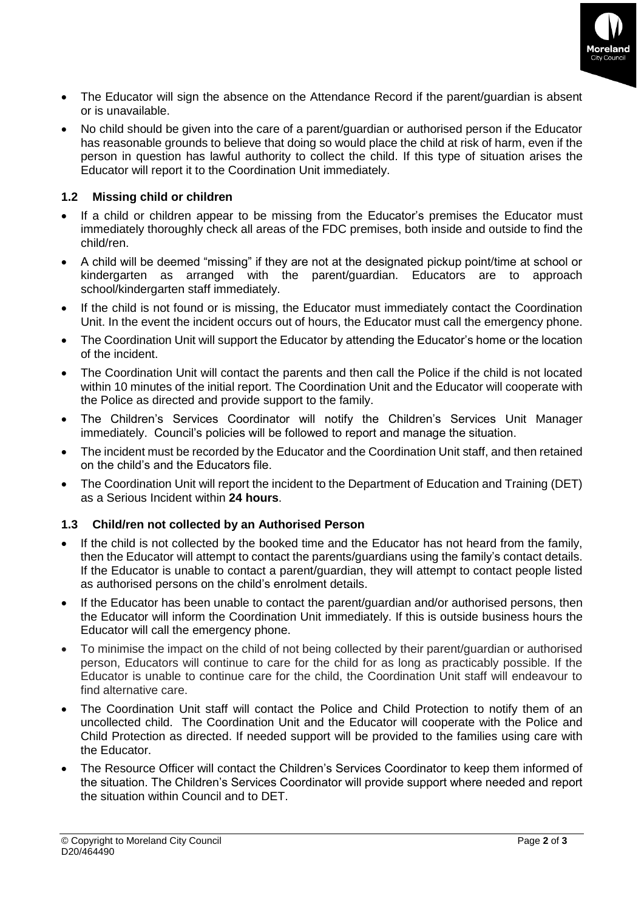

- The Educator will sign the absence on the Attendance Record if the parent/guardian is absent or is unavailable.
- No child should be given into the care of a parent/guardian or authorised person if the Educator has reasonable grounds to believe that doing so would place the child at risk of harm, even if the person in question has lawful authority to collect the child. If this type of situation arises the Educator will report it to the Coordination Unit immediately.

#### **1.2 Missing child or children**

- If a child or children appear to be missing from the Educator's premises the Educator must immediately thoroughly check all areas of the FDC premises, both inside and outside to find the child/ren.
- A child will be deemed "missing" if they are not at the designated pickup point/time at school or kindergarten as arranged with the parent/guardian. Educators are to approach school/kindergarten staff immediately.
- If the child is not found or is missing, the Educator must immediately contact the Coordination Unit. In the event the incident occurs out of hours, the Educator must call the emergency phone.
- The Coordination Unit will support the Educator by attending the Educator's home or the location of the incident.
- The Coordination Unit will contact the parents and then call the Police if the child is not located within 10 minutes of the initial report. The Coordination Unit and the Educator will cooperate with the Police as directed and provide support to the family.
- The Children's Services Coordinator will notify the Children's Services Unit Manager immediately. Council's policies will be followed to report and manage the situation.
- The incident must be recorded by the Educator and the Coordination Unit staff, and then retained on the child's and the Educators file.
- The Coordination Unit will report the incident to the Department of Education and Training (DET) as a Serious Incident within **24 hours**.

#### **1.3 Child/ren not collected by an Authorised Person**

- If the child is not collected by the booked time and the Educator has not heard from the family, then the Educator will attempt to contact the parents/guardians using the family's contact details. If the Educator is unable to contact a parent/guardian, they will attempt to contact people listed as authorised persons on the child's enrolment details.
- If the Educator has been unable to contact the parent/guardian and/or authorised persons, then the Educator will inform the Coordination Unit immediately. If this is outside business hours the Educator will call the emergency phone.
- To minimise the impact on the child of not being collected by their parent/guardian or authorised person, Educators will continue to care for the child for as long as practicably possible. If the Educator is unable to continue care for the child, the Coordination Unit staff will endeavour to find alternative care.
- The Coordination Unit staff will contact the Police and Child Protection to notify them of an uncollected child. The Coordination Unit and the Educator will cooperate with the Police and Child Protection as directed. If needed support will be provided to the families using care with the Educator.
- The Resource Officer will contact the Children's Services Coordinator to keep them informed of the situation. The Children's Services Coordinator will provide support where needed and report the situation within Council and to DET.